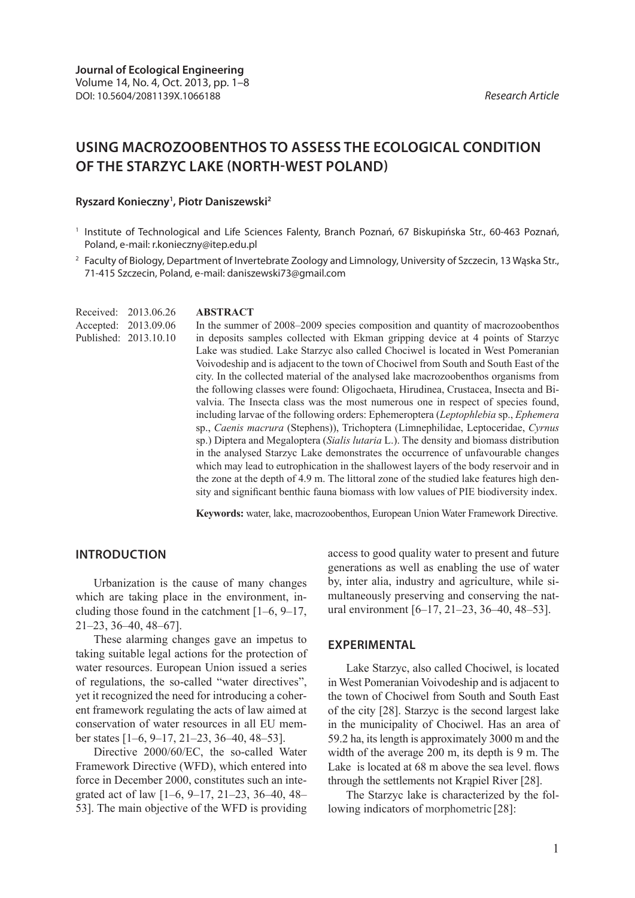# **USING MACROZOOBENTHOS TO ASSESS THE ECOLOGICAL CONDITION OF THE STARZYC LAKE (NORTH-WEST POLAND)**

#### **Ryszard Konieczny1 , Piotr Daniszewski2**

- <sup>1</sup> Institute of Technological and Life Sciences Falenty, Branch Poznań, 67 Biskupińska Str., 60-463 Poznań, Poland, e-mail: r.konieczny@itep.edu.pl
- <sup>2</sup> Faculty of Biology, Department of Invertebrate Zoology and Limnology, University of Szczecin, 13 Wąska Str., 71-415 Szczecin, Poland, e-mail: daniszewski73@gmail.com

Received: 2013.06.26 Accepted: 2013.09.06 Published: 2013.10.10

#### **ABSTRACT**

In the summer of 2008–2009 species composition and quantity of macrozoobenthos in deposits samples collected with Ekman gripping device at 4 points of Starzyc Lake was studied. Lake Starzyc also called Chociwel is located in West Pomeranian Voivodeship and is adjacent to the town of Chociwel from South and South East of the city. In the collected material of the analysed lake macrozoobenthos organisms from the following classes were found: Oligochaeta, Hirudinea, Crustacea, Insecta and Bivalvia. The Insecta class was the most numerous one in respect of species found, including larvae of the following orders: Ephemeroptera (*Leptophlebia* sp., *Ephemera*  sp., *Caenis macrura* (Stephens)), Trichoptera (Limnephilidae, Leptoceridae, *Cyrnus*  sp.) Diptera and Megaloptera (*Sialis lutaria* L.). The density and biomass distribution in the analysed Starzyc Lake demonstrates the occurrence of unfavourable changes which may lead to eutrophication in the shallowest layers of the body reservoir and in the zone at the depth of 4.9 m. The littoral zone of the studied lake features high density and significant benthic fauna biomass with low values of PIE biodiversity index.

**Keywords:** water, lake, macrozoobenthos, European Union Water Framework Directive.

# **INTRODUCTION**

Urbanization is the cause of many changes which are taking place in the environment, including those found in the catchment [1–6, 9–17, 21–23, 36–40, 48–67].

These alarming changes gave an impetus to taking suitable legal actions for the protection of water resources. European Union issued a series of regulations, the so-called "water directives", yet it recognized the need for introducing a coherent framework regulating the acts of law aimed at conservation of water resources in all EU member states [1–6, 9–17, 21–23, 36–40, 48–53].

Directive 2000/60/EC, the so-called Water Framework Directive (WFD), which entered into force in December 2000, constitutes such an integrated act of law [1–6, 9–17, 21–23, 36–40, 48– 53]. The main objective of the WFD is providing access to good quality water to present and future generations as well as enabling the use of water by, inter alia, industry and agriculture, while simultaneously preserving and conserving the natural environment [6–17, 21–23, 36–40, 48–53].

## **EXPERIMENTAL**

Lake Starzyc, also called Chociwel, is located in West Pomeranian Voivodeship and is adjacent to the town of Chociwel from South and South East of the city [28]. Starzyc is the second largest lake in the municipality of Chociwel. Has an area of 59.2 ha, its length is approximately 3000 m and the width of the average 200 m, its depth is 9 m. The Lake is located at 68 m above the sea level. flows through the settlements not Krapiel River [28].

The Starzyc lake is characterized by the following indicators of morphometric [28]: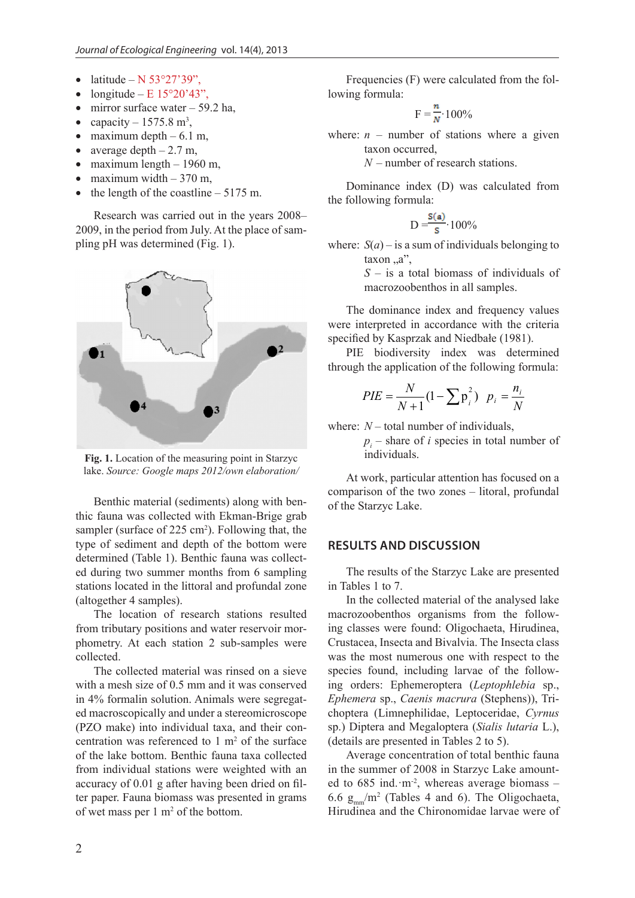- latitude N  $53^{\circ}27'39''$ ,
- longitude E  $15^{\circ}20'43"$ .
- mirror surface water  $-59.2$  ha,
- capacity  $-1575.8$  m<sup>3</sup>,
- maximum depth  $-6.1$  m,
- average depth  $-2.7$  m,
- maximum length  $-1960$  m,
- maximum width  $-370$  m,
- the length of the coastline  $-5175$  m.

Research was carried out in the years 2008– 2009, in the period from July. At the place of sampling pH was determined (Fig. 1).



**Fig. 1.** Location of the measuring point in Starzyc lake. *Source: Google maps 2012/own elaboration/*

Benthic material (sediments) along with benthic fauna was collected with Ekman-Brige grab sampler (surface of 225 cm<sup>2</sup>). Following that, the type of sediment and depth of the bottom were determined (Table 1). Benthic fauna was collected during two summer months from 6 sampling stations located in the littoral and profundal zone (altogether 4 samples).

The location of research stations resulted from tributary positions and water reservoir morphometry. At each station 2 sub-samples were collected.

The collected material was rinsed on a sieve with a mesh size of 0.5 mm and it was conserved in 4% formalin solution. Animals were segregated macroscopically and under a stereomicroscope (PZO make) into individual taxa, and their concentration was referenced to  $1 \text{ m}^2$  of the surface of the lake bottom. Benthic fauna taxa collected from individual stations were weighted with an accuracy of 0.01 g after having been dried on filter paper. Fauna biomass was presented in grams of wet mass per 1 m<sup>2</sup> of the bottom.

Frequencies (F) were calculated from the following formula:

$$
F = \frac{n}{N} \cdot 100\%
$$

where:  $n$  – number of stations where a given taxon occurred,

*N* – number of research stations.

Dominance index (D) was calculated from the following formula:

D = 
$$
\frac{s(a)}{s}
$$
 100%

where:  $S(a)$  – is a sum of individuals belonging to  $taxon, a$ ",

> *S* – is a total biomass of individuals of macrozoobenthos in all samples.

The dominance index and frequency values were interpreted in accordance with the criteria specified by Kasprzak and Niedbałe (1981).

PIE biodiversity index was determined through the application of the following formula:

$$
PIE = \frac{N}{N+1} (1 - \sum p_i^2) \ p_i = \frac{n_i}{N}
$$

where:  $N -$  total number of individuals,

 $p_i$  – share of *i* species in total number of individuals.

At work, particular attention has focused on a comparison of the two zones – litoral, profundal of the Starzyc Lake.

## **RESULTS AND DISCUSSION**

The results of the Starzyc Lake are presented in Tables 1 to 7.

In the collected material of the analysed lake macrozoobenthos organisms from the following classes were found: Oligochaeta, Hirudinea, Crustacea, Insecta and Bivalvia. The Insecta class was the most numerous one with respect to the species found, including larvae of the following orders: Ephemeroptera (*Leptophlebia* sp., *Ephemera* sp., *Caenis macrura* (Stephens)), Trichoptera (Limnephilidae, Leptoceridae, *Cyrnus*  sp.) Diptera and Megaloptera (*Sialis lutaria* L.), (details are presented in Tables 2 to 5).

Average concentration of total benthic fauna in the summer of 2008 in Starzyc Lake amounted to 685 ind. m<sup>-2</sup>, whereas average biomass -6.6  $g_{mm}/m^2$  (Tables 4 and 6). The Oligochaeta, Hirudinea and the Chironomidae larvae were of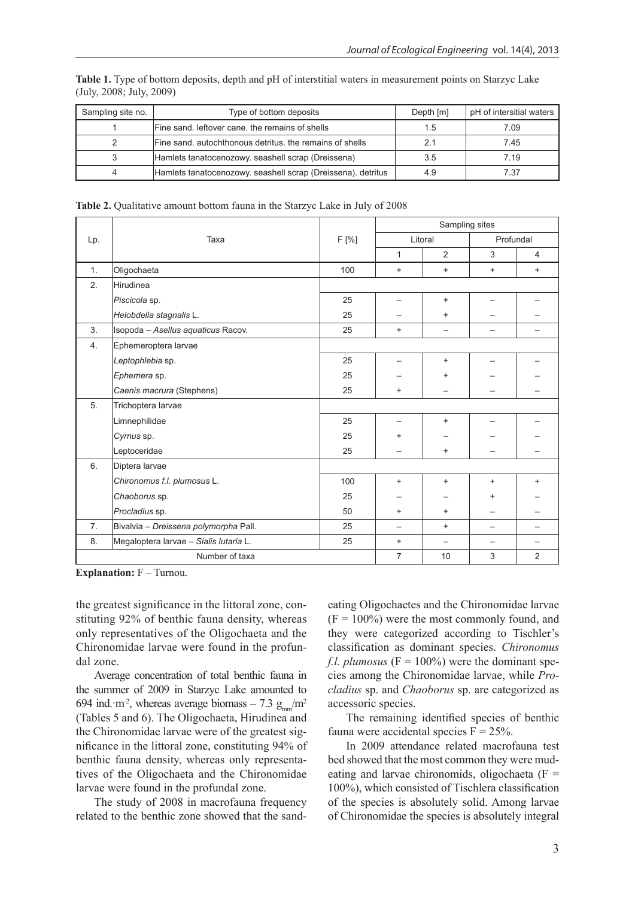**Table 1.** Type of bottom deposits, depth and pH of interstitial waters in measurement points on Starzyc Lake (July, 2008; July, 2009)

| Sampling site no. | Type of bottom deposits                                      | Depth [m] | pH of intersitial waters |
|-------------------|--------------------------------------------------------------|-----------|--------------------------|
|                   | Fine sand, leftover cane, the remains of shells              | 1.5       | 7.09                     |
|                   | Fine sand, autochthonous detritus, the remains of shells     |           | 7.45                     |
|                   | Hamlets tanatocenozowy. seashell scrap (Dreissena)           | 3.5       | 7.19                     |
|                   | Hamlets tanatocenozowy. seashell scrap (Dreissena). detritus | 4.9       | 7.37                     |

**Table 2.** Qualitative amount bottom fauna in the Starzyc Lake in July of 2008

|     |                                        |       | Sampling sites |                          |                          |                |  |
|-----|----------------------------------------|-------|----------------|--------------------------|--------------------------|----------------|--|
| Lp. | Taxa                                   | F [%] |                | Litoral                  | Profundal                |                |  |
|     |                                        |       | 1              | 2                        | 3                        | $\overline{4}$ |  |
| 1.  | Oligochaeta                            | 100   | $\ddot{}$      | $\ddot{}$                | $\ddot{}$                | $+$            |  |
| 2.  | Hirudinea                              |       |                |                          |                          |                |  |
|     | Piscicola sp.                          | 25    |                | $\ddot{}$                |                          |                |  |
|     | Helobdella stagnalis L.                | 25    |                | $\ddot{}$                |                          |                |  |
| 3.  | Isopoda - Asellus aquaticus Racov.     | 25    | $\ddot{}$      | $\overline{\phantom{0}}$ | $\overline{\phantom{0}}$ |                |  |
| 4.  | Ephemeroptera larvae                   |       |                |                          |                          |                |  |
|     | Leptophlebia sp.                       | 25    |                | $\ddot{}$                |                          |                |  |
|     | Ephemera sp.                           | 25    |                | $\ddot{}$                |                          |                |  |
|     | Caenis macrura (Stephens)              | 25    | $\ddot{}$      |                          |                          |                |  |
| 5.  | Trichoptera larvae                     |       |                |                          |                          |                |  |
|     | Limnephilidae                          | 25    |                | $\ddot{}$                |                          |                |  |
|     | Cyrnus sp.                             | 25    | $\ddot{}$      |                          |                          |                |  |
|     | Leptoceridae                           | 25    |                | $\ddot{}$                |                          |                |  |
| 6.  | Diptera larvae                         |       |                |                          |                          |                |  |
|     | Chironomus f.l. plumosus L.            | 100   | $\ddot{}$      | $\ddot{}$                | $\ddot{}$                | $\ddot{}$      |  |
|     | Chaoborus sp.                          | 25    |                |                          | $\ddot{}$                |                |  |
|     | Procladius sp.                         | 50    | $\ddot{}$      | $\ddot{}$                |                          |                |  |
| 7.  | Bivalvia - Dreissena polymorpha Pall.  | 25    | —              | $\ddot{}$                | —                        |                |  |
| 8.  | Megaloptera larvae - Sialis lutaria L. | 25    | $\ddot{}$      | $\overline{\phantom{0}}$ |                          |                |  |
|     | Number of taxa                         |       | 7              | 10                       | 3                        | 2              |  |

**Explanation:**  $F - Turnou$ .

the greatest significance in the littoral zone, constituting 92% of benthic fauna density, whereas only representatives of the Oligochaeta and the Chironomidae larvae were found in the profundal zone.

Average concentration of total benthic fauna in the summer of 2009 in Starzyc Lake amounted to 694 ind.  $m^2$ , whereas average biomass – 7.3 g<sub>mm</sub>/m<sup>2</sup> (Tables 5 and 6). The Oligochaeta, Hirudinea and the Chironomidae larvae were of the greatest significance in the littoral zone, constituting 94% of benthic fauna density, whereas only representatives of the Oligochaeta and the Chironomidae larvae were found in the profundal zone.

The study of 2008 in macrofauna frequency related to the benthic zone showed that the sand-

eating Oligochaetes and the Chironomidae larvae  $(F = 100\%)$  were the most commonly found, and they were categorized according to Tischler's classification as dominant species. *Chironomus f.l. plumosus*  $(F = 100\%)$  were the dominant species among the Chironomidae larvae, while *Procladius* sp. and *Chaoborus* sp. are categorized as accessoric species.

The remaining identified species of benthic fauna were accidental species  $F = 25\%$ .

In 2009 attendance related macrofauna test bed showed that the most common they were mudeating and larvae chironomids, oligochaeta  $(F =$ 100%), which consisted of Tischlera classification of the species is absolutely solid. Among larvae of Chironomidae the species is absolutely integral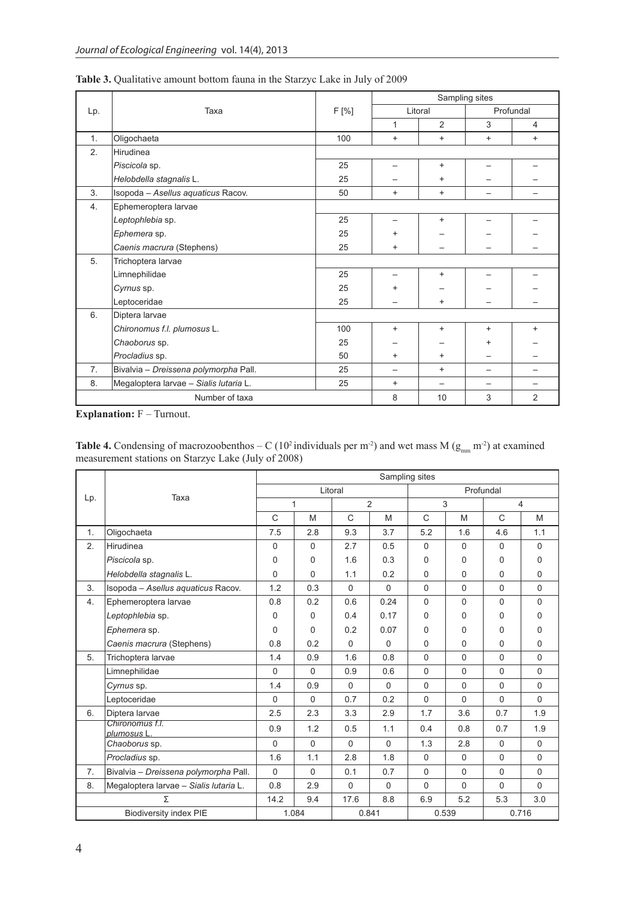|                |                                        |       |                          |           | Sampling sites |                |  |  |
|----------------|----------------------------------------|-------|--------------------------|-----------|----------------|----------------|--|--|
| Lp.            | Taxa                                   | F [%] | Litoral                  |           | Profundal      |                |  |  |
|                |                                        |       | 1                        | 2         | 3              | $\overline{4}$ |  |  |
| 1.             | Oligochaeta                            | 100   | $\ddot{}$                | $\ddot{}$ | $\ddot{}$      | $\ddot{}$      |  |  |
| 2.             | Hirudinea                              |       |                          |           |                |                |  |  |
|                | Piscicola sp.                          | 25    |                          | $\ddot{}$ |                |                |  |  |
|                | Helobdella stagnalis L.                | 25    |                          | $\ddot{}$ |                |                |  |  |
| 3.             | Isopoda - Asellus aquaticus Racov.     | 50    | $\ddot{}$                | $\ddot{}$ |                |                |  |  |
| 4.             | Ephemeroptera larvae                   |       |                          |           |                |                |  |  |
|                | Leptophlebia sp.                       | 25    |                          | $\ddot{}$ |                |                |  |  |
|                | Ephemera sp.                           | 25    | $\ddot{}$                |           |                |                |  |  |
|                | Caenis macrura (Stephens)              | 25    | $\ddot{}$                |           |                |                |  |  |
| 5.             | Trichoptera larvae                     |       |                          |           |                |                |  |  |
|                | Limnephilidae                          | 25    |                          | $\ddot{}$ |                |                |  |  |
|                | Cyrnus sp.                             | 25    | +                        |           |                |                |  |  |
|                | Leptoceridae                           | 25    |                          | $\ddot{}$ |                |                |  |  |
| 6.             | Diptera larvae                         |       |                          |           |                |                |  |  |
|                | Chironomus f.l. plumosus L.            | 100   | $+$                      | $\ddot{}$ | $+$            | $\ddot{}$      |  |  |
|                | Chaoborus sp.                          | 25    |                          |           |                |                |  |  |
|                | Procladius sp.                         | 50    | $\ddot{}$                | $\ddot{}$ |                |                |  |  |
| 7.             | Bivalvia - Dreissena polymorpha Pall.  | 25    | $\overline{\phantom{0}}$ | $\ddot{}$ |                |                |  |  |
| 8.             | Megaloptera larvae - Sialis lutaria L. | 25    | $\ddot{}$                |           |                |                |  |  |
| Number of taxa |                                        |       | 8                        | 10        | 3              | $\overline{2}$ |  |  |

**Table 3.** Qualitative amount bottom fauna in the Starzyc Lake in July of 2009

**Explanation:** F – Turnout.

**Table 4.** Condensing of macrozoobenthos – C (10<sup>2</sup> individuals per m<sup>-2</sup>) and wet mass M ( $g_{mm}$  m<sup>-2</sup>) at examined measurement stations on Starzyc Lake (July of 2008)

|     |                                        | Sampling sites |          |              |          |             |             |                |             |  |
|-----|----------------------------------------|----------------|----------|--------------|----------|-------------|-------------|----------------|-------------|--|
|     | Taxa                                   | Litoral        |          |              |          | Profundal   |             |                |             |  |
| Lp. |                                        | 1              |          | 2            |          | 3           |             | $\overline{4}$ |             |  |
|     |                                        | C              | M        | $\mathsf{C}$ | M        | C           | M           | C              | M           |  |
| 1.  | Oligochaeta                            | 7.5            | 2.8      | 9.3          | 3.7      | 5.2         | 1.6         | 4.6            | 1.1         |  |
| 2.  | Hirudinea                              | $\Omega$       | $\Omega$ | 2.7          | 0.5      | 0           | $\Omega$    | 0              | $\Omega$    |  |
|     | Piscicola sp.                          | 0              | $\Omega$ | 1.6          | 0.3      | 0           | 0           | 0              | $\mathbf 0$ |  |
|     | Helobdella stagnalis L.                | $\Omega$       | $\Omega$ | 1.1          | 0.2      | 0           | 0           | 0              | $\mathbf 0$ |  |
| 3.  | Isopoda - Asellus aquaticus Racov.     | 1.2            | 0.3      | 0            | $\Omega$ | 0           | $\mathbf 0$ | $\mathbf 0$    | $\mathbf 0$ |  |
| 4.  | Ephemeroptera larvae                   | 0.8            | 0.2      | 0.6          | 0.24     | 0           | $\Omega$    | 0              | $\Omega$    |  |
|     | Leptophlebia sp.                       | 0              | $\Omega$ | 0.4          | 0.17     | 0           | 0           | 0              | 0           |  |
|     | Ephemera sp.                           | $\Omega$       | $\Omega$ | 0.2          | 0.07     | 0           | 0           | 0              | $\Omega$    |  |
|     | Caenis macrura (Stephens)              | 0.8            | 0.2      | $\Omega$     | $\Omega$ | 0           | 0           | 0              | $\mathbf 0$ |  |
| 5.  | Trichoptera larvae                     | 1.4            | 0.9      | 1.6          | 0.8      | $\Omega$    | $\Omega$    | $\Omega$       | $\Omega$    |  |
|     | Limnephilidae                          | $\Omega$       | $\Omega$ | 0.9          | 0.6      | $\Omega$    | $\Omega$    | $\Omega$       | $\Omega$    |  |
|     | Cyrnus sp.                             | 1.4            | 0.9      | $\Omega$     | $\Omega$ | $\mathbf 0$ | $\mathbf 0$ | 0              | $\mathbf 0$ |  |
|     | Leptoceridae                           | $\Omega$       | $\Omega$ | 0.7          | 0.2      | $\Omega$    | $\Omega$    | $\Omega$       | $\Omega$    |  |
| 6.  | Diptera larvae                         | 2.5            | 2.3      | 3.3          | 2.9      | 1.7         | 3.6         | 0.7            | 1.9         |  |
|     | Chironomus f.l.<br>plumosus L          | 0.9            | 1.2      | 0.5          | 1.1      | 0.4         | 0.8         | 0.7            | 1.9         |  |
|     | Chaoborus sp.                          | $\Omega$       | $\Omega$ | $\Omega$     | $\Omega$ | 1.3         | 2.8         | $\Omega$       | $\mathbf 0$ |  |
|     | Procladius sp.                         | 1.6            | 1.1      | 2.8          | 1.8      | 0           | $\mathbf 0$ | $\mathbf 0$    | $\mathbf 0$ |  |
| 7.  | Bivalvia - Dreissena polymorpha Pall.  | $\Omega$       | $\Omega$ | 0.1          | 0.7      | 0           | $\mathbf 0$ | 0              | $\mathbf 0$ |  |
| 8.  | Megaloptera larvae - Sialis lutaria L. | 0.8            | 2.9      | 0            | $\Omega$ | 0           | $\Omega$    | $\Omega$       | $\Omega$    |  |
|     | Σ                                      | 14.2           | 9.4      | 17.6         | 8.8      | 6.9         | 5.2         | 5.3            | 3.0         |  |
|     | <b>Biodiversity index PIE</b>          | 1.084          |          |              | 0.841    | 0.539       |             | 0.716          |             |  |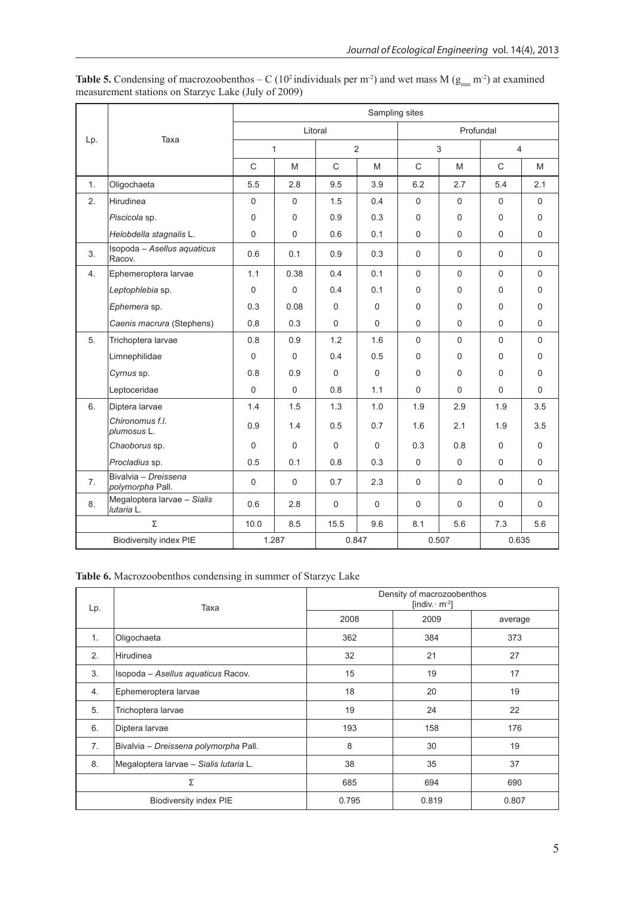|     |                                           | Sampling sites |          |                |              |              |             |                |             |
|-----|-------------------------------------------|----------------|----------|----------------|--------------|--------------|-------------|----------------|-------------|
|     | Taxa                                      | Litoral        |          |                |              | Profundal    |             |                |             |
| Lp. |                                           | $\mathbf{1}$   |          | $\overline{2}$ |              | 3            |             | $\overline{4}$ |             |
|     |                                           | $\mathsf{C}$   | M        | $\mathsf{C}$   | M            | $\mathsf{C}$ | M           | $\mathsf{C}$   | M           |
| 1.  | Oligochaeta                               | 5.5            | 2.8      | 9.5            | 3.9          | 6.2          | 2.7         | 5.4            | 2.1         |
| 2.  | Hirudinea                                 | 0              | $\Omega$ | 1.5            | 0.4          | 0            | $\mathbf 0$ | $\Omega$       | $\Omega$    |
|     | Piscicola sp.                             | $\Omega$       | 0        | 0.9            | 0.3          | $\Omega$     | $\Omega$    | $\Omega$       | $\Omega$    |
|     | Helobdella stagnalis L.                   | $\Omega$       | 0        | 0.6            | 0.1          | $\Omega$     | $\Omega$    | $\Omega$       | $\Omega$    |
| 3.  | Isopoda - Asellus aquaticus<br>Racov.     | 0.6            | 0.1      | 0.9            | 0.3          | $\Omega$     | $\mathbf 0$ | $\Omega$       | $\Omega$    |
| 4.  | Ephemeroptera larvae                      | 1.1            | 0.38     | 0.4            | 0.1          | $\Omega$     | $\Omega$    | $\Omega$       | $\Omega$    |
|     | Leptophlebia sp.                          | $\Omega$       | $\Omega$ | 0.4            | 0.1          | $\Omega$     | $\Omega$    | $\Omega$       | $\Omega$    |
|     | Ephemera sp.                              | 0.3            | 0.08     | $\mathbf 0$    | 0            | 0            | 0           | 0              | $\mathbf 0$ |
|     | Caenis macrura (Stephens)                 | 0.8            | 0.3      | $\mathbf 0$    | $\Omega$     | 0            | $\Omega$    | $\Omega$       | $\Omega$    |
| 5.  | Trichoptera larvae                        | 0.8            | 0.9      | 1.2            | 1.6          | $\Omega$     | $\Omega$    | $\Omega$       | $\mathbf 0$ |
|     | Limnephilidae                             | $\Omega$       | $\Omega$ | 0.4            | 0.5          | $\Omega$     | $\Omega$    | 0              | $\Omega$    |
|     | Cyrnus sp.                                | 0.8            | 0.9      | $\Omega$       | $\mathbf{0}$ | $\Omega$     | $\Omega$    | $\Omega$       | $\Omega$    |
|     | Leptoceridae                              | $\Omega$       | $\Omega$ | 0.8            | 1.1          | $\Omega$     | $\Omega$    | $\Omega$       | $\Omega$    |
| 6.  | Diptera larvae                            | 1.4            | 1.5      | 1.3            | 1.0          | 1.9          | 2.9         | 1.9            | 3.5         |
|     | Chironomus f.l.<br>plumosus L.            | 0.9            | 1.4      | 0.5            | 0.7          | 1.6          | 2.1         | 1.9            | 3.5         |
|     | Chaoborus sp.                             | $\Omega$       | $\Omega$ | $\Omega$       | $\Omega$     | 0.3          | 0.8         | $\Omega$       | $\Omega$    |
|     | Procladius sp.                            | 0.5            | 0.1      | 0.8            | 0.3          | $\mathbf 0$  | $\mathbf 0$ | 0              | $\mathbf 0$ |
| 7.  | Bivalvia - Dreissena<br>polymorpha Pall.  | $\Omega$       | $\Omega$ | 0.7            | 2.3          | $\Omega$     | $\Omega$    | $\Omega$       | $\Omega$    |
| 8.  | Megaloptera larvae - Sialis<br>lutaria L. | 0.6            | 2.8      | $\Omega$       | $\mathbf 0$  | $\Omega$     | $\Omega$    | $\Omega$       | $\Omega$    |
|     | Σ                                         | 10.0           | 8.5      | 15.5           | 9.6          | 8.1          | 5.6         | 7.3            | 5.6         |
|     | <b>Biodiversity index PIE</b>             |                | 1.287    |                | 0.847        | 0.507        |             | 0.635          |             |

**Table 5.** Condensing of macrozoobenthos – C (10<sup>2</sup> individuals per m<sup>-2</sup>) and wet mass M ( $g_{mm}$  m<sup>-2</sup>) at examined measurement stations on Starzyc Lake (July of 2009)

## **Table 6.** Macrozoobenthos condensing in summer of Starzyc Lake

| Lp. | Taxa                                   | Density of macrozoobenthos<br>[indiv. $m^{-2}$ ] |       |         |  |  |
|-----|----------------------------------------|--------------------------------------------------|-------|---------|--|--|
|     |                                        | 2008                                             | 2009  | average |  |  |
| 1.  | Oligochaeta                            | 362                                              | 384   | 373     |  |  |
| 2.  | <b>Hirudinea</b>                       | 32                                               | 21    | 27      |  |  |
| 3.  | Isopoda - Asellus aquaticus Racov.     | 15                                               | 19    | 17      |  |  |
| 4.  | Ephemeroptera larvae                   | 18                                               | 20    | 19      |  |  |
| 5.  | Trichoptera larvae                     | 19                                               | 24    | 22      |  |  |
| 6.  | Diptera larvae                         | 193                                              | 158   | 176     |  |  |
| 7.  | Bivalvia - Dreissena polymorpha Pall.  | 8                                                | 30    | 19      |  |  |
| 8.  | Megaloptera larvae - Sialis lutaria L. | 38                                               | 35    | 37      |  |  |
| Σ   |                                        | 685                                              | 694   | 690     |  |  |
|     | <b>Biodiversity index PIE</b>          | 0.795                                            | 0.819 | 0.807   |  |  |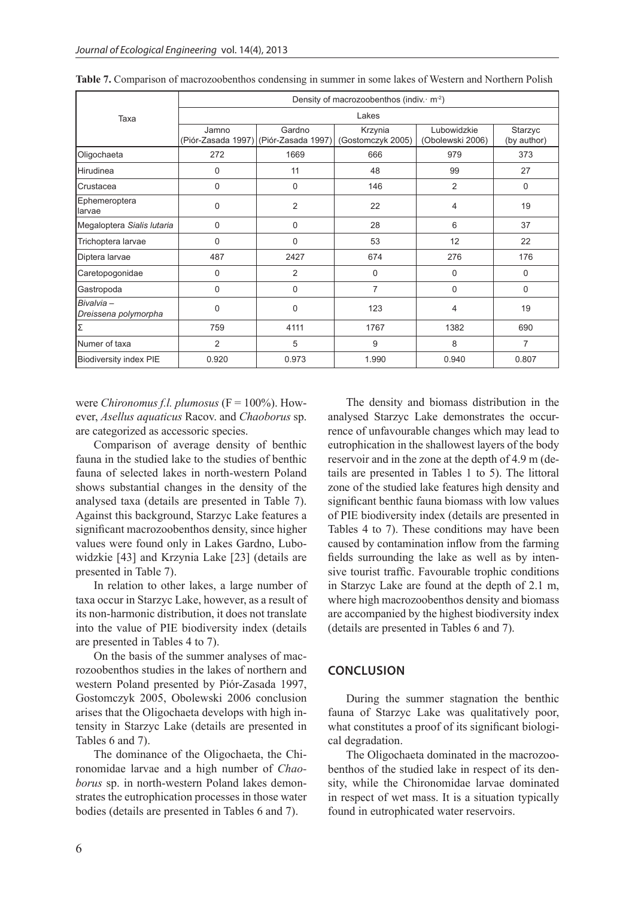|                                   | Density of macrozoobenthos (indiv. $m2$ ) |                                                 |                              |                                 |                        |  |  |  |  |
|-----------------------------------|-------------------------------------------|-------------------------------------------------|------------------------------|---------------------------------|------------------------|--|--|--|--|
| Taxa                              | Lakes                                     |                                                 |                              |                                 |                        |  |  |  |  |
|                                   | Jamno                                     | Gardno<br>(Piór-Zasada 1997) (Piór-Zasada 1997) | Krzynia<br>(Gostomczyk 2005) | Lubowidzkie<br>(Obolewski 2006) | Starzyc<br>(by author) |  |  |  |  |
| Oligochaeta                       | 272                                       | 1669                                            | 666                          | 979                             | 373                    |  |  |  |  |
| Hirudinea                         | 0                                         | 11                                              | 48                           | 99                              | 27                     |  |  |  |  |
| lCrustacea                        | 0                                         | 0                                               | 146                          | $\overline{2}$                  | 0                      |  |  |  |  |
| Ephemeroptera<br>llarvae          | 0                                         | 2                                               | 22                           | 4                               | 19                     |  |  |  |  |
| Megaloptera Sialis lutaria        | 0                                         | 0                                               | 28                           | 6                               | 37                     |  |  |  |  |
| Trichoptera larvae                | $\Omega$                                  | 0                                               | 53                           | 12                              | 22                     |  |  |  |  |
| Diptera larvae                    | 487                                       | 2427                                            | 674                          | 276                             | 176                    |  |  |  |  |
| Caretopogonidae                   | 0                                         | $\overline{2}$                                  | 0                            | $\Omega$                        | $\Omega$               |  |  |  |  |
| Gastropoda                        | 0                                         | 0                                               | 7                            | $\mathbf 0$                     | 0                      |  |  |  |  |
| Bivalvia-<br>Dreissena polymorpha | 0                                         | 0                                               | 123                          | $\overline{4}$                  | 19                     |  |  |  |  |
| IΣ                                | 759                                       | 4111                                            | 1767                         | 1382                            | 690                    |  |  |  |  |
| Numer of taxa                     | 2                                         | 5                                               | 9                            | 8                               | 7                      |  |  |  |  |
| <b>Biodiversity index PIE</b>     | 0.920                                     | 0.973                                           | 1.990                        | 0.940                           | 0.807                  |  |  |  |  |

**Table 7.** Comparison of macrozoobenthos condensing in summer in some lakes of Western and Northern Polish

were *Chironomus f.l. plumosus* (F = 100%). However, *Asellus aquaticus* Racov. and *Chaoborus* sp. are categorized as accessoric species.

Comparison of average density of benthic fauna in the studied lake to the studies of benthic fauna of selected lakes in north-western Poland shows substantial changes in the density of the analysed taxa (details are presented in Table 7). Against this background, Starzyc Lake features a significant macrozoobenthos density, since higher values were found only in Lakes Gardno, Lubowidzkie [43] and Krzynia Lake [23] (details are presented in Table 7).

In relation to other lakes, a large number of taxa occur in Starzyc Lake, however, as a result of its non-harmonic distribution, it does not translate into the value of PIE biodiversity index (details are presented in Tables 4 to 7).

On the basis of the summer analyses of macrozoobenthos studies in the lakes of northern and western Poland presented by Piór-Zasada 1997, Gostomczyk 2005, Obolewski 2006 conclusion arises that the Oligochaeta develops with high intensity in Starzyc Lake (details are presented in Tables 6 and 7).

The dominance of the Oligochaeta, the Chironomidae larvae and a high number of *Chaoborus* sp. in north-western Poland lakes demonstrates the eutrophication processes in those water bodies (details are presented in Tables 6 and 7).

The density and biomass distribution in the analysed Starzyc Lake demonstrates the occurrence of unfavourable changes which may lead to eutrophication in the shallowest layers of the body reservoir and in the zone at the depth of 4.9 m (details are presented in Tables 1 to 5). The littoral zone of the studied lake features high density and significant benthic fauna biomass with low values of PIE biodiversity index (details are presented in Tables 4 to 7). These conditions may have been caused by contamination inflow from the farming fields surrounding the lake as well as by intensive tourist traffic. Favourable trophic conditions in Starzyc Lake are found at the depth of 2.1 m, where high macrozoobenthos density and biomass are accompanied by the highest biodiversity index (details are presented in Tables 6 and 7).

## **CONCLUSION**

During the summer stagnation the benthic fauna of Starzyc Lake was qualitatively poor, what constitutes a proof of its significant biological degradation.

The Oligochaeta dominated in the macrozoobenthos of the studied lake in respect of its density, while the Chironomidae larvae dominated in respect of wet mass. It is a situation typically found in eutrophicated water reservoirs.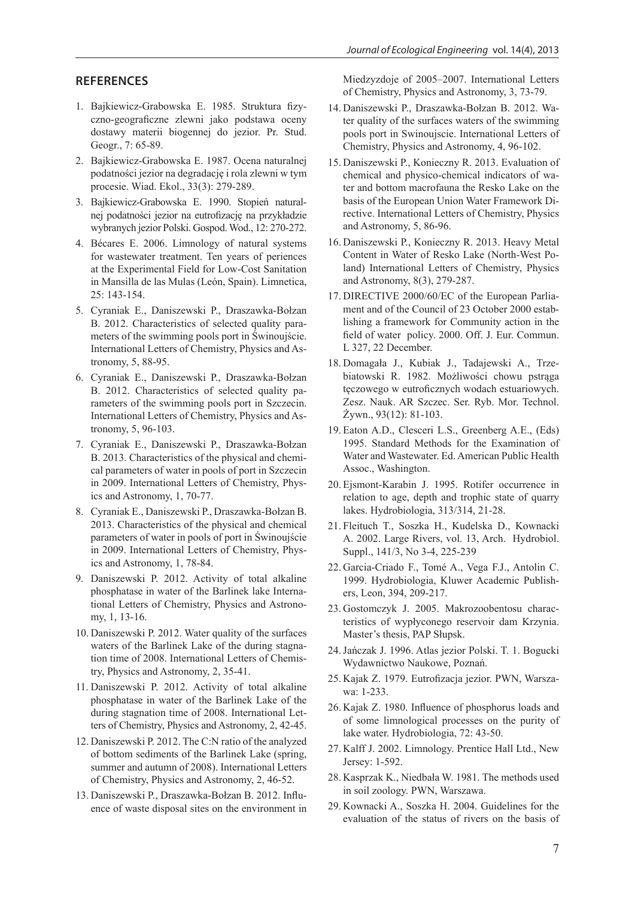#### **REFERENCES**

- 1. Bajkiewicz-Grabowska E. 1985. Struktura fizyczno-geograficzne zlewni jako podstawa oceny dostawy materii biogennej do jezior. Pr. Stud. Geogr., 7: 65-89.
- 2. Bajkiewicz-Grabowska E. 1987. Ocena naturalnej podatności jezior na degradację i rola zlewni w tym procesie. Wiad. Ekol., 33(3): 279-289.
- 3. Bajkiewicz-Grabowska E. 1990. Stopień naturalnej podatności jezior na eutrofizację na przykładzie wybranych jezior Polski. Gospod. Wod., 12: 270-272.
- 4. Bécares E. 2006. Limnology of natural systems for wastewater treatment. Ten years of periences at the Experimental Field for Low-Cost Sanitation in Mansilla de las Mulas (León, Spain). Limnetica, 25: 143-154.
- 5. Cyraniak E., Daniszewski P., Draszawka-Bołzan B. 2012. Characteristics of selected quality parameters of the swimming pools port in Świnoujście. International Letters of Chemistry, Physics and Astronomy, 5, 88-95.
- 6. Cyraniak E., Daniszewski P., Draszawka-Bołzan B. 2012. Characteristics of selected quality parameters of the swimming pools port in Szczecin. International Letters of Chemistry, Physics and Astronomy, 5, 96-103.
- 7. Cyraniak E., Daniszewski P., Draszawka-Bołzan B. 2013. Characteristics of the physical and chemical parameters of water in pools of port in Szczecin in 2009. International Letters of Chemistry, Physics and Astronomy, 1, 70-77.
- 8. Cyraniak E., Daniszewski P., Draszawka-Bołzan B. 2013. Characteristics of the physical and chemical parameters of water in pools of port in Świnoujście in 2009. International Letters of Chemistry, Physics and Astronomy, 1, 78-84.
- 9. Daniszewski P. 2012. Activity of total alkaline phosphatase in water of the Barlinek lake International Letters of Chemistry, Physics and Astronomy, 1, 13-16.
- 10. Daniszewski P. 2012. Water quality of the surfaces waters of the Barlinek Lake of the during stagnation time of 2008. International Letters of Chemistry, Physics and Astronomy, 2, 35-41.
- 11. Daniszewski P. 2012. Activity of total alkaline phosphatase in water of the Barlinek Lake of the during stagnation time of 2008. International Letters of Chemistry, Physics and Astronomy, 2, 42-45.
- 12. Daniszewski P. 2012. The C:N ratio of the analyzed of bottom sediments of the Barlinek Lake (spring, summer and autumn of 2008). International Letters of Chemistry, Physics and Astronomy, 2, 46-52.
- 13. Daniszewski P., Draszawka-Bołzan B. 2012. Influence of waste disposal sites on the environment in

Miedzyzdoje of 2005–2007. International Letters of Chemistry, Physics and Astronomy, 3, 73-79.

- 14. Daniszewski P., Draszawka-Bołzan B. 2012. Water quality of the surfaces waters of the swimming pools port in Swinoujscie. International Letters of Chemistry, Physics and Astronomy, 4, 96-102.
- 15. Daniszewski P., Konieczny R. 2013. Evaluation of chemical and physico-chemical indicators of water and bottom macrofauna the Resko Lake on the basis of the European Union Water Framework Directive. International Letters of Chemistry, Physics and Astronomy, 5, 86-96.
- 16. Daniszewski P., Konieczny R. 2013. Heavy Metal Content in Water of Resko Lake (North-West Poland) International Letters of Chemistry, Physics and Astronomy, 8(3), 279-287.
- 17. DIRECTIVE 2000/60/EC of the European Parliament and of the Council of 23 October 2000 establishing a framework for Community action in the field of water policy. 2000. Off. J. Eur. Commun. L 327, 22 December.
- 18. Domagała J., Kubiak J., Tadajewski A., Trzebiatowski R. 1982. Możliwości chowu pstrąga tęczowego w eutroficznych wodach estuariowych. Zesz. Nauk. AR Szczec. Ser. Ryb. Mor. Technol. Żywn., 93(12): 81-103.
- 19. Eaton A.D., Clesceri L.S., Greenberg A.E., (Eds) 1995. Standard Methods for the Examination of Water and Wastewater. Ed. American Public Health Assoc., Washington.
- 20. Ejsmont-Karabin J. 1995. Rotifer occurrence in relation to age, depth and trophic state of quarry lakes. Hydrobiologia, 313/314, 21-28.
- 21. Fleituch T., Soszka H., Kudelska D., Kownacki A. 2002. Large Rivers, vol. 13, Arch. Hydrobiol. Suppl., 141/3, No 3-4, 225-239
- 22. Garcia-Criado F., Tomé A., Vega F.J., Antolin C. 1999. Hydrobiologia, Kluwer Academic Publishers, Leon, 394, 209-217.
- 23. Gostomczyk J. 2005. Makrozoobentosu characteristics of wypłyconego reservoir dam Krzynia. Master's thesis, PAP Słupsk.
- 24.Jańczak J. 1996. Atlas jezior Polski. T. 1. Bogucki Wydawnictwo Naukowe, Poznań.
- 25. Kajak Z. 1979. Eutrofizacja jezior. PWN, Warszawa: 1-233.
- 26. Kajak Z. 1980. Influence of phosphorus loads and of some limnological processes on the purity of lake water. Hydrobiologia, 72: 43-50.
- 27. Kalff J. 2002. Limnology. Prentice Hall Ltd., New Jersey: 1-592.
- 28. Kasprzak K., Niedbała W. 1981. The methods used in soil zoology. PWN, Warszawa.
- 29. Kownacki A., Soszka H. 2004. Guidelines for the evaluation of the status of rivers on the basis of